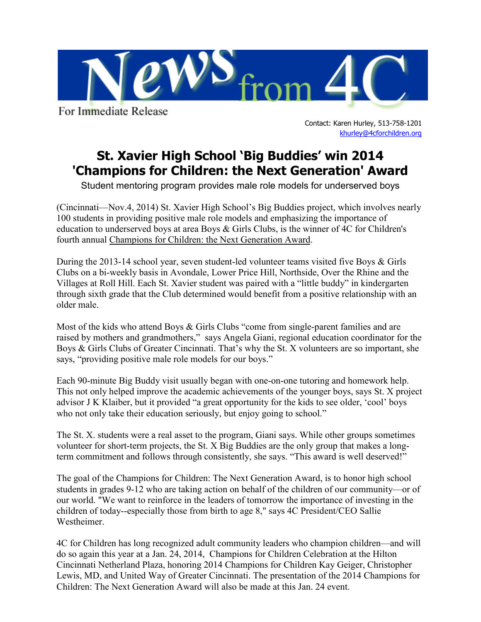

For Immediate Release

Contact: Karen Hurley, 513-758-1201 [khurley@4cforchildren.org](mailto:lkruse@4cforchildren.org)

## **St. Xavier High School 'Big Buddies' win 2014 'Champions for Children: the Next Generation' Award**

Student mentoring program provides male role models for underserved boys

(Cincinnati—Nov.4, 2014) St. Xavier High School's Big Buddies project, which involves nearly 100 students in providing positive male role models and emphasizing the importance of education to underserved boys at area Boys & Girls Clubs, is the winner of 4C for Children's fourth annual [Champions for Children: the Next Generation Award.](http://4cforchildren.org/champions/Youth_Award.html)

During the 2013-14 school year, seven student-led volunteer teams visited five Boys & Girls Clubs on a bi-weekly basis in Avondale, Lower Price Hill, Northside, Over the Rhine and the Villages at Roll Hill. Each St. Xavier student was paired with a "little buddy" in kindergarten through sixth grade that the Club determined would benefit from a positive relationship with an older male.

Most of the kids who attend Boys & Girls Clubs "come from single-parent families and are raised by mothers and grandmothers," says Angela Giani, regional education coordinator for the Boys & Girls Clubs of Greater Cincinnati. That's why the St. X volunteers are so important, she says, "providing positive male role models for our boys."

Each 90-minute Big Buddy visit usually began with one-on-one tutoring and homework help. This not only helped improve the academic achievements of the younger boys, says St. X project advisor J K Klaiber, but it provided "a great opportunity for the kids to see older, 'cool' boys who not only take their education seriously, but enjoy going to school."

The St. X. students were a real asset to the program, Giani says. While other groups sometimes volunteer for short-term projects, the St. X Big Buddies are the only group that makes a longterm commitment and follows through consistently, she says. "This award is well deserved!"

The goal of the Champions for Children: The Next Generation Award, is to honor high school students in grades 9-12 who are taking action on behalf of the children of our community—or of our world. "We want to reinforce in the leaders of tomorrow the importance of investing in the children of today--especially those from birth to age 8," says 4C President/CEO Sallie Westheimer.

4C for Children has long recognized adult community leaders who champion children—and will do so again this year at a Jan. 24, 2014, [Champions for Children Celebration](http://4cforchildren.org/champions/index.html) at the Hilton Cincinnati Netherland Plaza, honoring 2014 Champions for Children Kay Geiger, Christopher Lewis, MD, and United Way of Greater Cincinnati. The presentation of the 2014 Champions for Children: The Next Generation Award will also be made at this Jan. 24 event.